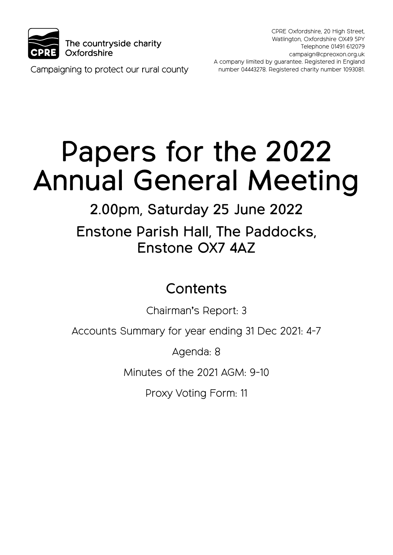

CPRE Oxfordshire, 20 High Street, Watlington, Oxfordshire OX49 5PY Telephone 01491 612079 campaign@cpreoxon.org.uk A company limited by guarantee. Registered in England number 04443278. Registered charity number 1093081.

Campaigning to protect our rural county

# Papers for the 2022 Annual General Meeting

2.00pm, Saturday 25 June 2022 Enstone Parish Hall, The Paddocks, Enstone OX7 4AZ

# **Contents**

Chairman's Report: 3

Accounts Summary for year ending 31 Dec 2021: 4-7

Agenda: 8

Minutes of the 2021 AGM: 9-10

Proxy Voting Form: 11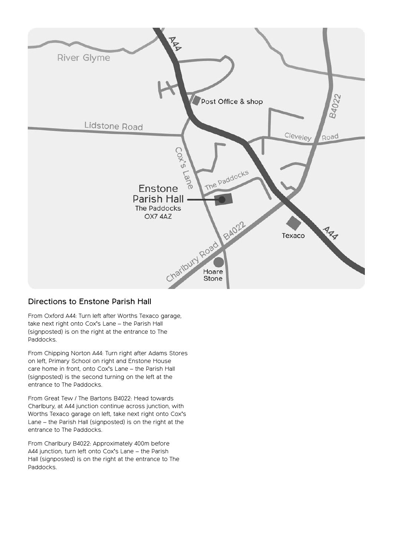

#### Directions to Enstone Parish Hall

From Oxford A44: Turn left after Worths Texaco garage, take next right onto Cox's Lane – the Parish Hall (signposted) is on the right at the entrance to The Paddocks.

From Chipping Norton A44: Turn right after Adams Stores on left, Primary School on right and Enstone House care home in front, onto Cox's Lane – the Parish Hall (signposted) is the second turning on the left at the entrance to The Paddocks.

From Great Tew / The Bartons B4022: Head towards Charlbury, at A44 junction continue across junction, with Worths Texaco garage on left, take next right onto Cox's Lane – the Parish Hall (signposted) is on the right at the entrance to The Paddocks.

From Charlbury B4022: Approximately 400m before A44 junction, turn left onto Cox's Lane – the Parish Hall (signposted) is on the right at the entrance to The Paddocks.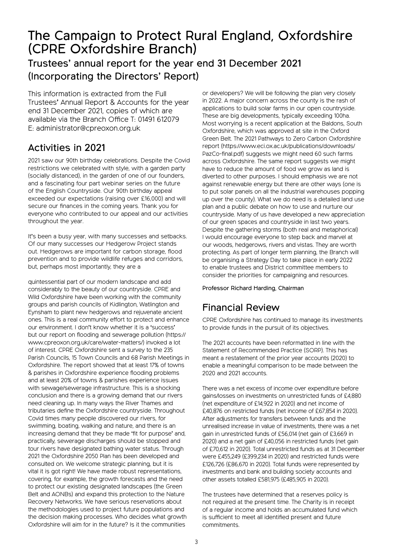# The Campaign to Protect Rural England, Oxfordshire (CPRE Oxfordshire Branch)

### Trustees' annual report for the year end 31 December 2021 (Incorporating the Directors' Report)

This information is extracted from the Full Trustees' Annual Report & Accounts for the year end 31 December 2021, copies of which are available via the Branch Office T: 01491 612079 E: administrator@cpreoxon.org.uk

### Activities in 2021

2021 saw our 90th birthday celebrations. Despite the Covid restrictions we celebrated with style, with a garden party (socially distanced), in the garden of one of our founders, and a fascinating four part webinar series on the future of the English Countryside. Our 90th birthday appeal exceeded our expectations (raising over £16,000) and will secure our finances in the coming years. Thank you for everyone who contributed to our appeal and our activities throughout the year.

It's been a busy year, with many successes and setbacks. Of our many successes our Hedgerow Project stands out. Hedgerows are important for carbon storage, flood prevention and to provide wildlife refuges and corridors, but, perhaps most importantly, they are a

quintessential part of our modern landscape and add considerably to the beauty of our countryside. CPRE and Wild Oxfordshire have been working with the community groups and parish councils of Kidlington, Watlington and Eynsham to plant new hedgerows and rejuvenate ancient ones. This is a real community effort to protect and enhance our environment. I don't know whether it is a 'success' but our report on flooding and sewerage pollution (https:// www.cpreoxon.org.uk/care/water-matters/) invoked a lot of interest. CPRE Oxfordshire sent a survey to the 235 Parish Councils, 15 Town Councils and 68 Parish Meetings in Oxfordshire. The report showed that at least 17% of towns & parishes in Oxfordshire experience flooding problems and at least 20% of towns & parishes experience issues with sewage/sewerage infrastructure. This is a shocking conclusion and there is a growing demand that our rivers need cleaning up. In many ways the River Thames and tributaries define the Oxfordshire countryside. Throughout Covid times many people discovered our rivers, for swimming, boating, walking and nature, and there is an increasing demand that they be made 'fit for purpose' and, practically, sewerage discharges should be stopped and tour rivers have designated bathing water status. Through 2021 the Oxfordshire 2050 Plan has been developed and consulted on. We welcome strategic planning, but it is vital it is got right! We have made robust representations, covering, for example, the growth forecasts and the need to protect our existing designated landscapes (the Green Belt and AONBs) and expand this protection to the Nature Recovery Networks. We have serious reservations about the methodologies used to project future populations and the decision making processes. Who decides what growth Oxfordshire will aim for in the future? Is it the communities

or developers? We will be following the plan very closely in 2022. A major concern across the county is the rash of applications to build solar farms in our open countryside. These are big developments, typically exceeding 100ha. Most worrying is a recent application at the Baldons, South Oxfordshire, which was approved at site in the Oxford Green Belt. The 2021 Pathways to Zero Carbon Oxfordshire report (https://www.eci.ox.ac.uk/publications/downloads/ PazCo-final.pdf) suggests we might need 60 such farms across Oxfordshire. The same report suggests we might have to reduce the amount of food we grow as land is diverted to other purposes. I should emphasis we are not against renewable energy but there are other ways (one is to put solar panels on all the industrial warehouses popping up over the county). What we do need is a detailed land use plan and a public debate on how to use and nurture our countryside. Many of us have developed a new appreciation of our green spaces and countryside in last two years. Despite the gathering storms (both real and metaphorical) I would encourage everyone to step back and marvel at our woods, hedgerows, rivers and vistas. They are worth protecting. As part of longer term planning, the Branch will be organising a Strategy Day to take place in early 2022 to enable trustees and District committee members to consider the priorities for campaigning and resources.

Professor Richard Harding, Chairman

### Financial Review

CPRE Oxfordshire has continued to manage its investments to provide funds in the pursuit of its objectives.

The 2021 accounts have been reformatted in line with the Statement of Recommended Practice (SORP). This has meant a restatement of the prior year accounts (2020) to enable a meaningful comparison to be made between the 2020 and 2021 accounts.

There was a net excess of income over expenditure before gains/losses on investments on unrestricted funds of £4,880 (net expenditure of £14,922 in 2020) and net income of £40,876 on restricted funds (net income of £67,854 in 2020). After adjustments for transfers between funds and the unrealised increase in value of investments, there was a net gain in unrestricted funds of £56,014 (net gain of £3,669 in 2020) and a net gain of £40,056 in restricted funds (net gain of £70,612 in 2020). Total unrestricted funds as at 31 December were £455,249 (£399,234 in 2020) and restricted funds were £126,726 (£86,670 in 2020). Total funds were represented by investments and bank and building society accounts and other assets totalled £581,975 (£485,905 in 2020).

The trustees have determined that a reserves policy is not required at the present time. The Charity is in receipt of a regular income and holds an accumulated fund which is sufficient to meet all identified present and future commitments.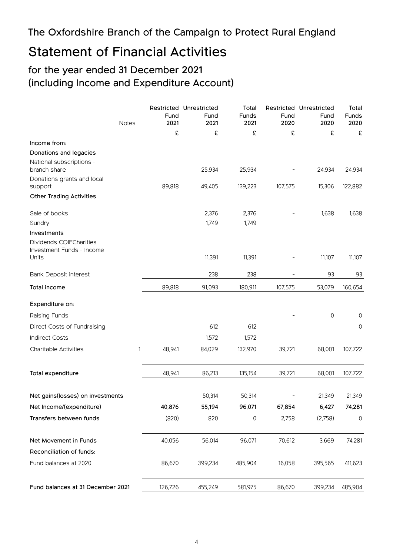### The Oxfordshire Branch of the Campaign to Protect Rural England

# Statement of Financial Activities

### for the year ended 31 December 2021 (including Income and Expenditure Account)

| <b>Notes</b>                             | Fund<br>2021 | Restricted Unrestricted<br>Fund<br>2021 | Total<br><b>Funds</b><br>2021 | Fund<br>2020 | Restricted Unrestricted<br>Fund<br>2020 | Total<br><b>Funds</b><br>2020 |
|------------------------------------------|--------------|-----------------------------------------|-------------------------------|--------------|-----------------------------------------|-------------------------------|
|                                          | £            | £                                       | £                             | £            | £                                       | £                             |
| Income from:                             |              |                                         |                               |              |                                         |                               |
| Donations and legacies                   |              |                                         |                               |              |                                         |                               |
| National subscriptions -<br>branch share |              | 25,934                                  | 25,934                        |              | 24,934                                  | 24,934                        |
| Donations grants and local<br>support    | 89,818       | 49,405                                  | 139,223                       | 107,575      | 15,306                                  | 122,882                       |
| <b>Other Trading Activities</b>          |              |                                         |                               |              |                                         |                               |
| Sale of books                            |              | 2,376                                   | 2,376                         |              | 1,638                                   | 1,638                         |
| Sundry                                   |              | 1,749                                   | 1,749                         |              |                                         |                               |
| Investments                              |              |                                         |                               |              |                                         |                               |
| Dividends COIFCharities                  |              |                                         |                               |              |                                         |                               |
| Investment Funds - Income<br>Units       |              | 11,391                                  | 11,391                        |              | 11,107                                  | 11,107                        |
| Bank Deposit interest                    |              | 238                                     | 238                           |              | 93                                      | 93                            |
| Total income                             | 89,818       | 91,093                                  | 180,911                       | 107,575      | 53,079                                  | 160,654                       |
| Expenditure on:                          |              |                                         |                               |              |                                         |                               |
| Raising Funds                            |              |                                         |                               |              | 0                                       | 0                             |
| Direct Costs of Fundraising              |              | 612                                     | 612                           |              |                                         | 0                             |
| <b>Indirect Costs</b>                    |              | 1,572                                   | 1,572                         |              |                                         |                               |
| Charitable Activities<br>1               | 48,941       | 84,029                                  | 132,970                       | 39,721       | 68,001                                  | 107,722                       |
| Total expenditure                        | 48,941       | 86,213                                  | 135,154                       | 39,721       | 68,001                                  | 107,722                       |
|                                          |              |                                         |                               |              |                                         |                               |
| Net gains(losses) on investments         |              | 50,314                                  | 50,314                        |              | 21,349                                  | 21,349                        |
| Net Income/(expenditure)                 | 40,876       | 55,194                                  | 96,071                        | 67,854       | 6,427                                   | 74,281                        |
| Transfers between funds                  | (820)        | 820                                     | $\mathsf{O}\xspace$           | 2,758        | (2,758)                                 | $\mathsf{O}$                  |
| Net Movement in Funds                    | 40,056       | 56,014                                  | 96,071                        | 70,612       | 3,669                                   | 74,281                        |
| Reconciliation of funds:                 |              |                                         |                               |              |                                         |                               |
| Fund balances at 2020                    | 86,670       | 399,234                                 | 485,904                       | 16,058       | 395,565                                 | 411,623                       |
| Fund balances at 31 December 2021        | 126,726      | 455,249                                 | 581,975                       | 86,670       | 399,234                                 | 485,904                       |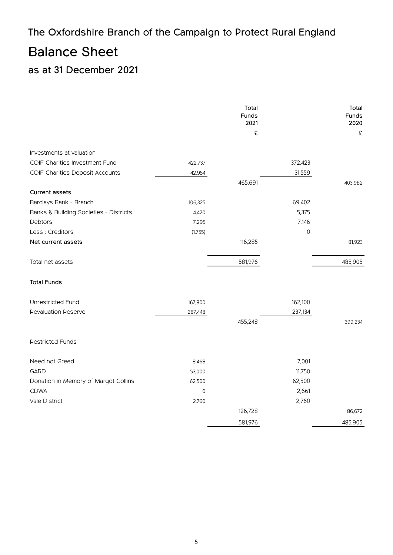# The Oxfordshire Branch of the Campaign to Protect Rural England

# Balance Sheet

### as at 31 December 2021

|                                        |         | Total<br>Funds<br>2021<br>£ |         | Total<br>Funds<br>2020<br>£ |
|----------------------------------------|---------|-----------------------------|---------|-----------------------------|
| Investments at valuation               |         |                             |         |                             |
| COIF Charities Investment Fund         | 422,737 |                             | 372,423 |                             |
| COIF Charities Deposit Accounts        | 42,954  |                             | 31,559  |                             |
|                                        |         | 465,691                     |         | 403,982                     |
| Current assets                         |         |                             |         |                             |
| Barclays Bank - Branch                 | 106,325 |                             | 69,402  |                             |
| Banks & Building Societies - Districts | 4,420   |                             | 5,375   |                             |
| Debtors                                | 7,295   |                             | 7,146   |                             |
| Less : Creditors                       | (1,755) |                             | 0       |                             |
| Net current assets                     |         | 116,285                     |         | 81,923                      |
| Total net assets                       |         | 581,976                     |         | 485,905                     |
| <b>Total Funds</b>                     |         |                             |         |                             |
| Unrestricted Fund                      | 167,800 |                             | 162,100 |                             |
| Revaluation Reserve                    | 287,448 |                             | 237,134 |                             |
|                                        |         | 455,248                     |         | 399,234                     |
| <b>Restricted Funds</b>                |         |                             |         |                             |
| Need not Greed                         | 8,468   |                             | 7,001   |                             |
| <b>GARD</b>                            | 53,000  |                             | 11,750  |                             |
| Donation in Memory of Margot Collins   | 62,500  |                             | 62,500  |                             |
| <b>CDWA</b>                            | 0       |                             | 2,661   |                             |
| Vale District                          | 2,760   |                             | 2,760   |                             |
|                                        |         | 126,728                     |         | 86,672                      |
|                                        |         | 581,976                     |         | 485,905                     |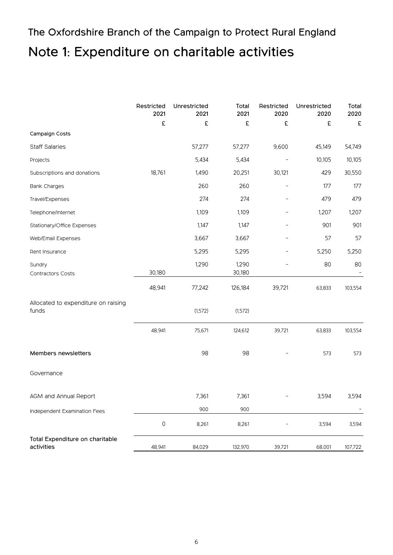# The Oxfordshire Branch of the Campaign to Protect Rural England Note 1: Expenditure on charitable activities

|                                               | Restricted<br>2021  | Unrestricted<br>2021 | Total<br>2021   | Restricted<br>2020 | Unrestricted<br>2020 | Total<br>2020 |
|-----------------------------------------------|---------------------|----------------------|-----------------|--------------------|----------------------|---------------|
|                                               | £                   | £                    | £               | £                  | £                    | £             |
| Campaign Costs                                |                     |                      |                 |                    |                      |               |
| <b>Staff Salaries</b>                         |                     | 57,277               | 57,277          | 9,600              | 45,149               | 54,749        |
| Projects                                      |                     | 5,434                | 5,434           |                    | 10,105               | 10,105        |
| Subscriptions and donations                   | 18,761              | 1,490                | 20,251          | 30,121             | 429                  | 30,550        |
| <b>Bank Charges</b>                           |                     | 260                  | 260             |                    | 177                  | 177           |
| Travel/Expenses                               |                     | 274                  | 274             |                    | 479                  | 479           |
| Telephone/Internet                            |                     | 1,109                | 1,109           | -                  | 1,207                | 1,207         |
| Stationary/Office Expenses                    |                     | 1,147                | 1,147           |                    | 901                  | 901           |
| Web/Email Expenses                            |                     | 3,667                | 3,667           |                    | 57                   | 57            |
| Rent Insurance                                |                     | 5,295                | 5,295           |                    | 5,250                | 5,250         |
| Sundry<br><b>Contractors Costs</b>            | 30,180              | 1,290                | 1,290<br>30,180 |                    | 80                   | 80            |
|                                               | 48,941              | 77,242               | 126,184         | 39,721             | 63,833               | 103,554       |
| Allocated to expenditure on raising<br>funds  |                     | (1,572)              | (1,572)         |                    |                      |               |
|                                               | 48,941              | 75,671               | 124,612         | 39,721             | 63,833               | 103,554       |
| Members newsletters                           |                     | 98                   | 98              |                    | 573                  | 573           |
| Governance                                    |                     |                      |                 |                    |                      |               |
| AGM and Annual Report                         |                     | 7,361                | 7,361           |                    | 3,594                | 3,594         |
| Independent Examination Fees                  |                     | 900                  | 900             |                    |                      |               |
|                                               | $\mathsf{O}\xspace$ | 8,261                | 8,261           |                    | 3,594                | 3,594         |
| Total Expenditure on charitable<br>activities | 48,941              | 84,029               | 132,970         | 39,721             | 68,001               | 107,722       |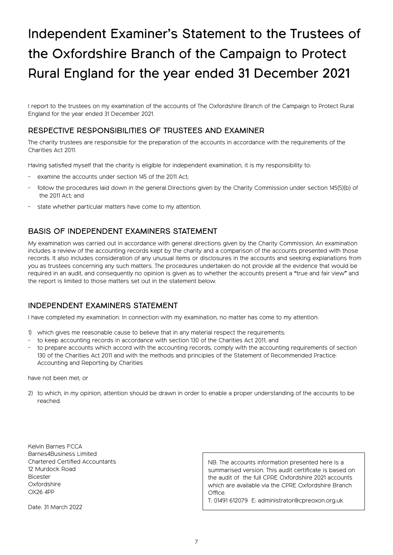# Independent Examiner's Statement to the Trustees of the Oxfordshire Branch of the Campaign to Protect Rural England for the year ended 31 December 2021

I report to the trustees on my examination of the accounts of The Oxfordshire Branch of the Campaign to Protect Rural England for the year ended 31 December 2021.

#### RESPECTIVE RESPONSIBILITIES OF TRUSTEES AND EXAMINER

The charity trustees are responsible for the preparation of the accounts in accordance with the requirements of the Charities Act 2011.

Having satisfied myself that the charity is eligible for independent examination, it is my responsibility to:

- examine the accounts under section 145 of the 2011 Act;
- follow the procedures laid down in the general Directions given by the Charity Commission under section 145(5)(b) of the 2011 Act; and
- state whether particular matters have come to my attention.

#### BASIS OF INDEPENDENT EXAMINERS STATEMENT

My examination was carried out in accordance with general directions given by the Charity Commission. An examination includes a review of the accounting records kept by the charity and a comparison of the accounts presented with those records. It also includes consideration of any unusual items or disclosures in the accounts and seeking explanations from you as trustees concerning any such matters. The procedures undertaken do not provide all the evidence that would be required in an audit, and consequently no opinion is given as to whether the accounts present a "true and fair view" and the report is limited to those matters set out in the statement below.

#### INDEPENDENT EXAMINERS STATEMENT

I have completed my examination. In connection with my examination, no matter has come to my attention:

- 1) which gives me reasonable cause to believe that in any material respect the requirements:
- to keep accounting records in accordance with section 130 of the Charities Act 2011; and
- to prepare accounts which accord with the accounting records, comply with the accounting requirements of section 130 of the Charities Act 2011 and with the methods and principles of the Statement of Recommended Practice: Accounting and Reporting by Charities

#### have not been met; or

2) to which, in my opinion, attention should be drawn in order to enable a proper understanding of the accounts to be reached.

Kelvin Barnes FCCA Barnes4Business Limited Chartered Certified Accountants 12 Murdock Road **Bicester Oxfordshire** OX26 4PP

Date: 31 March 2022

NB: The accounts information presented here is a summarised version. This audit certificate is based on the audit of the full CPRE Oxfordshire 2021 accounts which are available via the CPRE Oxfordshire Branch Office.

T: 01491 612079 E: administrator@cpreoxon.org.uk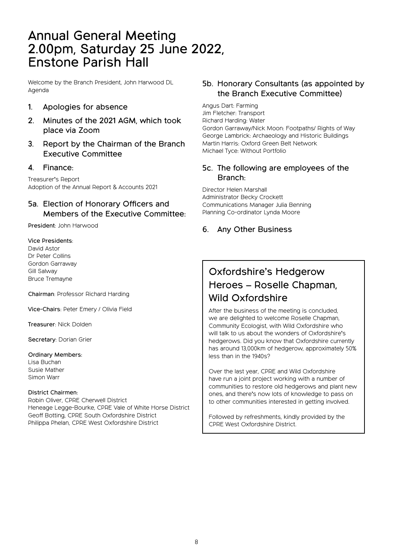# Annual General Meeting 2.00pm, Saturday 25 June 2022, Enstone Parish Hall

Welcome by the Branch President, John Harwood DL Agenda

- 1. Apologies for absence
- 2. Minutes of the 2021 AGM, which took place via Zoom
- 3. Report by the Chairman of the Branch Executive Committee

#### 4. Finance:

Treasurer's Report Adoption of the Annual Report & Accounts 2021

#### 5a. Election of Honorary Officers and Members of the Executive Committee:

President: John Harwood

#### Vice Presidents: David Astor Dr Peter Collins Gordon Garraway Gill Salway Bruce Tremayne

Chairman: Professor Richard Harding

Vice-Chairs: Peter Emery / Olivia Field

Treasurer: Nick Dolden

Secretary: Dorian Grier

#### Ordinary Members:

Lisa Buchan Susie Mather Simon Warr

#### District Chairmen:

Robin Oliver, CPRE Cherwell District Heneage Legge-Bourke, CPRE Vale of White Horse District Geoff Botting, CPRE South Oxfordshire District Philippa Phelan, CPRE West Oxfordshire District

#### 5b. Honorary Consultants (as appointed by the Branch Executive Committee)

Angus Dart: Farming Jim Fletcher: Transport Richard Harding: Water Gordon Garraway/Nick Moon: Footpaths/ Rights of Way George Lambrick: Archaeology and Historic Buildings Martin Harris: Oxford Green Belt Network Michael Tyce: Without Portfolio

#### 5c. The following are employees of the Branch:

Director Helen Marshall Administrator Becky Crockett Communications Manager Julia Benning Planning Co-ordinator Lynda Moore

#### 6. Any Other Business

## Oxfordshire's Hedgerow Heroes – Roselle Chapman, Wild Oxfordshire

After the business of the meeting is concluded, we are delighted to welcome Roselle Chapman, Community Ecologist, with Wild Oxfordshire who will talk to us about the wonders of Oxfordshire's hedgerows. Did you know that Oxfordshire currently has around 13,000km of hedgerow, approximately 50% less than in the 1940s?

Over the last year, CPRE and Wild Oxfordshire have run a joint project working with a number of communities to restore old hedgerows and plant new ones, and there's now lots of knowledge to pass on to other communities interested in getting involved.

Followed by refreshments, kindly provided by the CPRE West Oxfordshire District.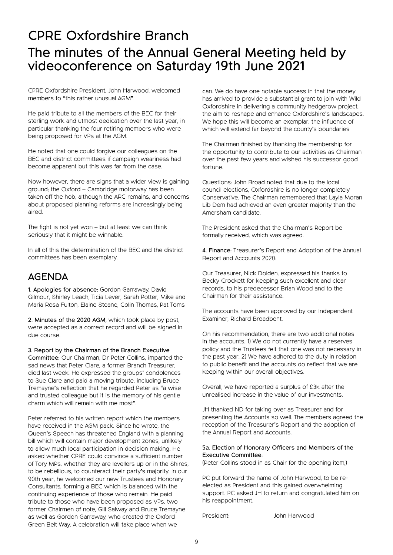# CPRE Oxfordshire Branch The minutes of the Annual General Meeting held by videoconference on Saturday 19th June 2021

CPRE Oxfordshire President, John Harwood, welcomed members to "this rather unusual AGM".

He paid tribute to all the members of the BEC for their sterling work and utmost dedication over the last year, in particular thanking the four retiring members who were being proposed for VPs at the AGM.

He noted that one could forgive our colleagues on the BEC and district committees if campaign weariness had become apparent but this was far from the case.

Now however, there are signs that a wider view is gaining ground; the Oxford – Cambridge motorway has been taken off the hob, although the ARC remains, and concerns about proposed planning reforms are increasingly being aired.

The fight is not yet won – but at least we can think seriously that it might be winnable.

In all of this the determination of the BEC and the district committees has been exemplary.

### AGENDA

1. Apologies for absence: Gordon Garraway, David Gilmour, Shirley Leach, Ticia Lever, Sarah Potter, Mike and Maria Rosa Fulton, Elaine Steane, Colin Thomas, Pat Toms

2. Minutes of the 2020 AGM, which took place by post, were accepted as a correct record and will be signed in due course.

3. Report by the Chairman of the Branch Executive Committee: Our Chairman, Dr Peter Collins, imparted the sad news that Peter Clare, a former Branch Treasurer, died last week. He expressed the groups' condolences to Sue Clare and paid a moving tribute, including Bruce Tremayne's reflection that he regarded Peter as "a wise and trusted colleague but it is the memory of his gentle charm which will remain with me most".

Peter referred to his written report which the members have received in the AGM pack. Since he wrote, the Queen's Speech has threatened England with a planning bill which will contain major development zones, unlikely to allow much local participation in decision making. He asked whether CPRE could convince a sufficient number of Tory MPs, whether they are levellers up or in the Shires, to be rebellious, to counteract their party's majority. In our 90th year, he welcomed our new Trustees and Honorary Consultants, forming a BEC which is balanced with the continuing experience of those who remain. He paid tribute to those who have been proposed as VPs, two former Chairmen of note, Gill Salway and Bruce Tremayne as well as Gordon Garraway, who created the Oxford Green Belt Way. A celebration will take place when we

can. We do have one notable success in that the money has arrived to provide a substantial grant to join with Wild Oxfordshire in delivering a community hedgerow project, the aim to reshape and enhance Oxfordshire's landscapes. We hope this will become an exemplar, the influence of which will extend far beyond the county's boundaries

The Chairman finished by thanking the membership for the opportunity to contribute to our activities as Chairman over the past few years and wished his successor good fortune.

Questions: John Broad noted that due to the local council elections, Oxfordshire is no longer completely Conservative. The Chairman remembered that Layla Moran Lib Dem had achieved an even greater majority than the Amersham candidate.

The President asked that the Chairman's Report be formally received, which was agreed.

4. Finance: Treasurer's Report and Adoption of the Annual Report and Accounts 2020:

Our Treasurer, Nick Dolden, expressed his thanks to Becky Crockett for keeping such excellent and clear records, to his predecessor Brian Wood and to the Chairman for their assistance.

The accounts have been approved by our Independent Examiner, Richard Broadbent.

On his recommendation, there are two additional notes in the accounts. 1) We do not currently have a reserves policy and the Trustees felt that one was not necessary in the past year. 2) We have adhered to the duty in relation to public benefit and the accounts do reflect that we are keeping within our overall objectives.

Overall, we have reported a surplus of £3k after the unrealised increase in the value of our investments.

JH thanked ND for taking over as Treasurer and for presenting the Accounts so well. The members agreed the reception of the Treasurer's Report and the adoption of the Annual Report and Accounts.

#### 5a. Election of Honorary Officers and Members of the Executive Committee:

(Peter Collins stood in as Chair for the opening item,)

PC put forward the name of John Harwood, to be reelected as President and this gained overwhelming support. PC asked JH to return and congratulated him on his reappointment.

President: John Harwood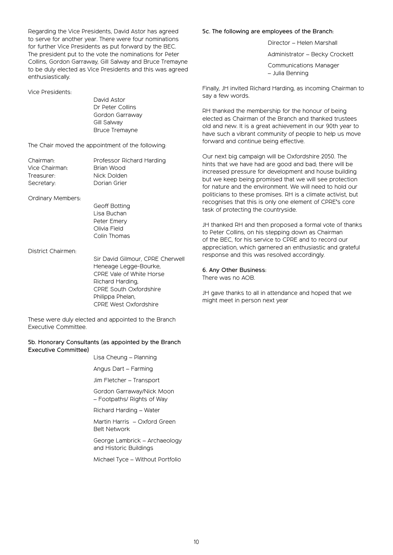Regarding the Vice Presidents, David Astor has agreed to serve for another year. There were four nominations for further Vice Presidents as put forward by the BEC. The president put to the vote the nominations for Peter Collins, Gordon Garraway, Gill Salway and Bruce Tremayne to be duly elected as Vice Presidents and this was agreed enthusiastically.

#### Vice Presidents:

David Astor Dr Peter Collins Gordon Garraway Gill Salway Bruce Tremayne

The Chair moved the appointment of the following:

| Professor Richard Harding |
|---------------------------|
| Brian Wood                |
| Nick Dolden               |
| Dorian Grier              |
|                           |

Ordinary Members:

Geoff Botting Lisa Buchan Peter Emery Olivia Field Colin Thomas

District Chairmen:

Sir David Gilmour, CPRE Cherwell Heneage Legge-Bourke, CPRE Vale of White Horse Richard Harding, CPRE South Oxfordshire Philippa Phelan, CPRE West Oxfordshire

These were duly elected and appointed to the Branch Executive Committee.

#### 5b. Honorary Consultants (as appointed by the Branch Executive Committee)

Lisa Cheung – Planning

Angus Dart – Farming

Jim Fletcher – Transport

Gordon Garraway/Nick Moon – Footpaths/ Rights of Way

Richard Harding – Water

Martin Harris – Oxford Green Belt Network

George Lambrick – Archaeology and Historic Buildings

Michael Tyce – Without Portfolio

#### 5c. The following are employees of the Branch:

Director – Helen Marshall

Administrator – Becky Crockett

Communications Manager – Julia Benning

Finally, JH invited Richard Harding, as incoming Chairman to say a few words.

RH thanked the membership for the honour of being elected as Chairman of the Branch and thanked trustees old and new. It is a great achievement in our 90th year to have such a vibrant community of people to help us move forward and continue being effective.

Our next big campaign will be Oxfordshire 2050. The hints that we have had are good and bad; there will be increased pressure for development and house building but we keep being promised that we will see protection for nature and the environment. We will need to hold our politicians to these promises. RH is a climate activist, but recognises that this is only one element of CPRE's core task of protecting the countryside.

JH thanked RH and then proposed a formal vote of thanks to Peter Collins, on his stepping down as Chairman of the BEC, for his service to CPRE and to record our appreciation, which garnered an enthusiastic and grateful response and this was resolved accordingly.

#### 6. Any Other Business:

There was no AOB.

JH gave thanks to all in attendance and hoped that we might meet in person next year